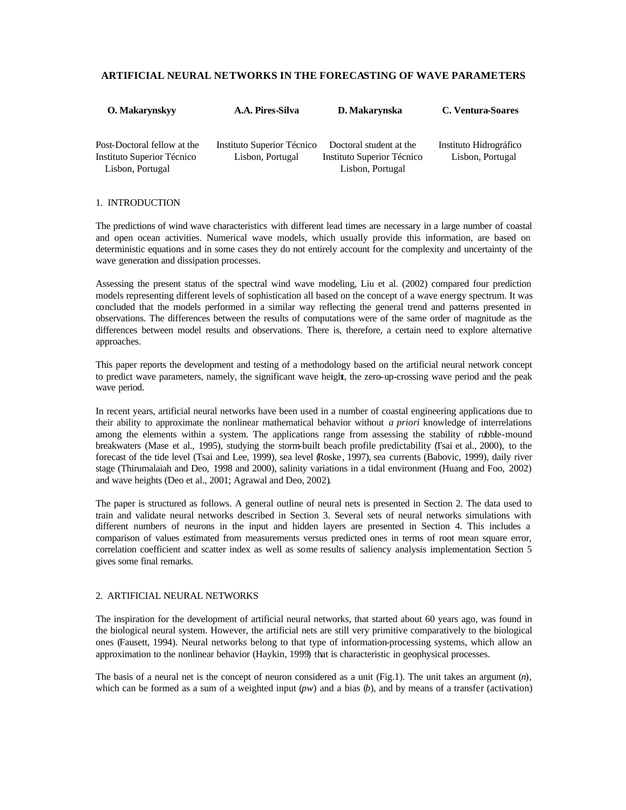# **ARTIFICIAL NEURAL NETWORKS IN THE FORECASTING OF WAVE PARAMETERS**

| <b>O.</b> Makarynskyy                                                         | A.A. Pires-Silva                               | D. Makarynska                                                             | C. Ventura-Soares                          |
|-------------------------------------------------------------------------------|------------------------------------------------|---------------------------------------------------------------------------|--------------------------------------------|
| Post-Doctoral fellow at the<br>Instituto Superior Técnico<br>Lisbon, Portugal | Instituto Superior Técnico<br>Lisbon, Portugal | Doctoral student at the<br>Instituto Superior Técnico<br>Lisbon, Portugal | Instituto Hidrográfico<br>Lisbon, Portugal |

### 1. INTRODUCTION

The predictions of wind wave characteristics with different lead times are necessary in a large number of coastal and open ocean activities. Numerical wave models, which usually provide this information, are based on deterministic equations and in some cases they do not entirely account for the complexity and uncertainty of the wave generation and dissipation processes.

Assessing the present status of the spectral wind wave modeling, Liu et al. (2002) compared four prediction models representing different levels of sophistication all based on the concept of a wave energy spectrum. It was concluded that the models performed in a similar way reflecting the general trend and patterns presented in observations. The differences between the results of computations were of the same order of magnitude as the differences between model results and observations. There is, therefore, a certain need to explore alternative approaches.

This paper reports the development and testing of a methodology based on the artificial neural network concept to predict wave parameters, namely, the significant wave height, the zero-up-crossing wave period and the peak wave period.

In recent years, artificial neural networks have been used in a number of coastal engineering applications due to their ability to approximate the nonlinear mathematical behavior without *a priori* knowledge of interrelations among the elements within a system. The applications range from assessing the stability of rubble-mound breakwaters (Mase et al., 1995), studying the storm-built beach profile predictability (Tsai et al., 2000), to the forecast of the tide level (Tsai and Lee, 1999), sea level (Roske, 1997), sea currents (Babovic, 1999), daily river stage (Thirumalaiah and Deo, 1998 and 2000), salinity variations in a tidal environment (Huang and Foo, 2002) and wave heights (Deo et al., 2001; Agrawal and Deo, 2002).

The paper is structured as follows. A general outline of neural nets is presented in Section 2. The data used to train and validate neural networks described in Section 3. Several sets of neural networks simulations with different numbers of neurons in the input and hidden layers are presented in Section 4. This includes a comparison of values estimated from measurements versus predicted ones in terms of root mean square error, correlation coefficient and scatter index as well as some results of saliency analysis implementation. Section 5 gives some final remarks.

### 2. ARTIFICIAL NEURAL NETWORKS

The inspiration for the development of artificial neural networks, that started about 60 years ago, was found in the biological neural system. However, the artificial nets are still very primitive comparatively to the biological ones (Fausett, 1994). Neural networks belong to that type of information-processing systems, which allow an approximation to the nonlinear behavior (Haykin, 1999) that is characteristic in geophysical processes.

The basis of a neural net is the concept of neuron considered as a unit (Fig.1). The unit takes an argument (*n*), which can be formed as a sum of a weighted input  $(pw)$  and a bias  $(b)$ , and by means of a transfer (activation)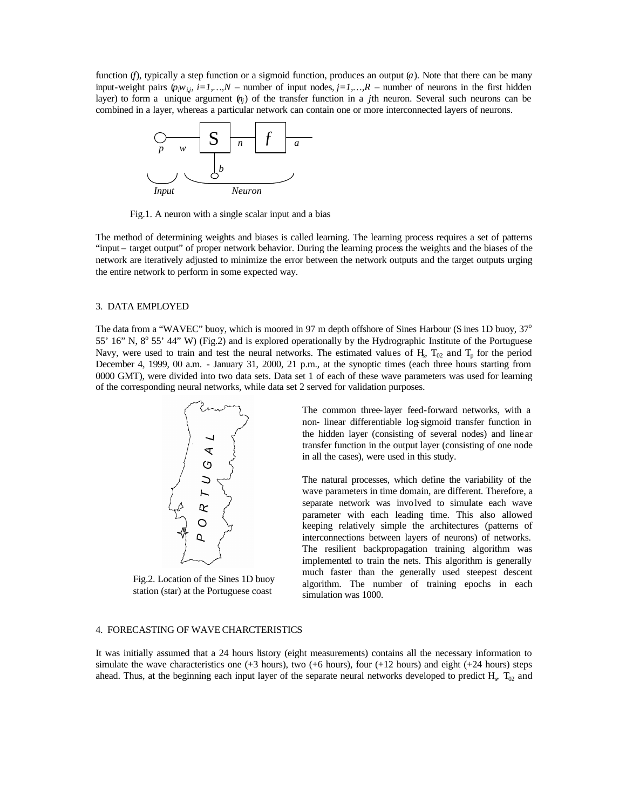function (*f*), typically a step function or a sigmoid function, produces an output (*a*). Note that there can be many input-weight pairs  $(p_j w_{i,j}, i=1,...,N$  – number of input nodes,  $j=1,...,R$  – number of neurons in the first hidden layer) to form a unique argument  $(v_i)$  of the transfer function in a *j*th neuron. Several such neurons can be combined in a layer, whereas a particular network can contain one or more interconnected layers of neurons.



Fig.1. A neuron with a single scalar input and a bias

The method of determining weights and biases is called learning. The learning process requires a set of patterns "input – target output" of proper network behavior. During the learning process the weights and the biases of the network are iteratively adjusted to minimize the error between the network outputs and the target outputs urging the entire network to perform in some expected way.

### 3. DATA EMPLOYED

The data from a "WAVEC" buoy, which is moored in 97 m depth offshore of Sines Harbour (S ines 1D buoy,  $37^\circ$ 55' 16" N, 8° 55' 44" W) (Fig.2) and is explored operationally by the Hydrographic Institute of the Portuguese Navy, were used to train and test the neural networks. The estimated values of H<sub>3</sub>,  $T_{02}$  and  $T_p$  for the period December 4, 1999, 00 a.m. - January 31, 2000, 21 p.m., at the synoptic times (each three hours starting from 0000 GMT), were divided into two data sets. Data set 1 of each of these wave parameters was used for learning of the corresponding neural networks, while data set 2 served for validation purposes.



Fig.2. Location of the Sines 1D buoy station (star) at the Portuguese coast

The common three-layer feed-forward networks, with a non- linear differentiable log-sigmoid transfer function in the hidden layer (consisting of several nodes) and linear transfer function in the output layer (consisting of one node in all the cases), were used in this study.

The natural processes, which define the variability of the wave parameters in time domain, are different. Therefore, a separate network was involved to simulate each wave parameter with each leading time. This also allowed keeping relatively simple the architectures (patterns of interconnections between layers of neurons) of networks. The resilient backpropagation training algorithm was implemented to train the nets. This algorithm is generally much faster than the generally used steepest descent algorithm. The number of training epochs in each simulation was 1000.

## 4. FORECASTING OF WAVE CHARCTERISTICS

It was initially assumed that a 24 hours history (eight measurements) contains all the necessary information to simulate the wave characteristics one  $(+3$  hours), two  $(+6$  hours), four  $(+12$  hours) and eight  $(+24$  hours) steps ahead. Thus, at the beginning each input layer of the separate neural networks developed to predict  $H_s$ ,  $T_{02}$  and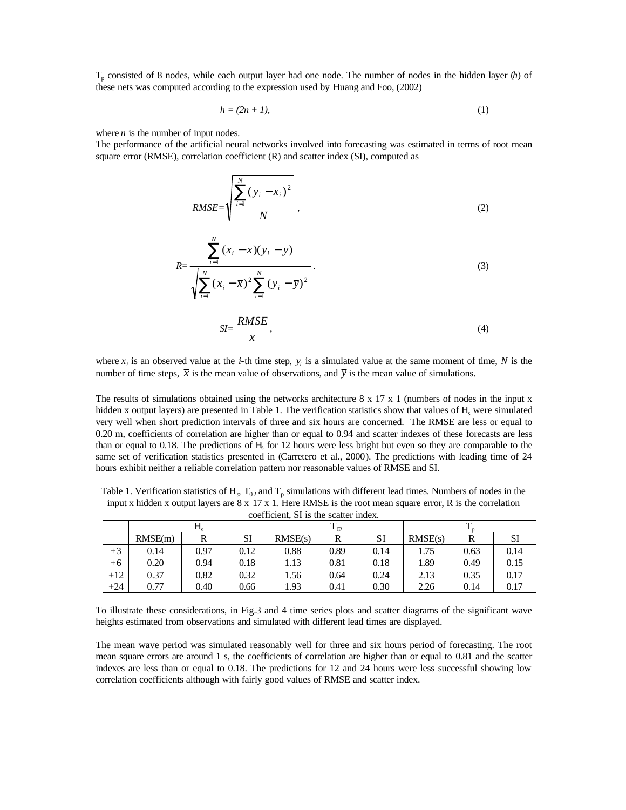Tp consisted of 8 nodes, while each output layer had one node. The number of nodes in the hidden layer (*h*) of these nets was computed according to the expression used by Huang and Foo, (2002)

$$
h = (2n + 1),\tag{1}
$$

where  $n$  is the number of input nodes.

The performance of the artificial neural networks involved into forecasting was estimated in terms of root mean square error (RMSE), correlation coefficient (R) and scatter index (SI), computed as

RMSE=
$$
\sqrt{\frac{\sum_{i=1}^{N} (y_i - x_i)^2}{N}}
$$
, (2)

$$
R = \frac{\sum_{i=1}^{N} (x_i - \overline{x})(y_i - \overline{y})}{\sqrt{\sum_{i=1}^{N} (x_i - \overline{x})^2 \sum_{i=1}^{N} (y_i - \overline{y})^2}}.
$$
\n(3)

$$
SI = \frac{KMSE}{\overline{x}},\tag{4}
$$

where  $x_i$  is an observed value at the *i*-th time step,  $y_i$  is a simulated value at the same moment of time, N is the number of time steps,  $\bar{x}$  is the mean value of observations, and  $\bar{y}$  is the mean value of simulations.

The results of simulations obtained using the networks architecture 8 x 17 x 1 (numbers of nodes in the input x hidden x output layers) are presented in Table 1. The verification statistics show that values of  $H_s$  were simulated very well when short prediction intervals of three and six hours are concerned. The RMSE are less or equal to 0.20 m, coefficients of correlation are higher than or equal to 0.94 and scatter indexes of these forecasts are less than or equal to 0.18. The predictions of  $H<sub>s</sub>$  for 12 hours were less bright but even so they are comparable to the same set of verification statistics presented in (Carretero et al., 2000). The predictions with leading time of 24 hours exhibit neither a reliable correlation pattern nor reasonable values of RMSE and SI.

Table 1. Verification statistics of  $H_s$ ,  $T_{02}$  and  $T_p$  simulations with different lead times. Numbers of nodes in the input x hidden x output layers are  $8 \times 17 \times 1$ . Here RMSE is the root mean square error, R is the correlation coefficient, SI is the scatter index.

| Counterent of to the seated museum |         |      |      |               |      |           |         |      |      |
|------------------------------------|---------|------|------|---------------|------|-----------|---------|------|------|
|                                    |         |      |      | ጥ<br>$1_{02}$ |      |           |         |      |      |
|                                    | RMSE(m) |      | SI   | RMSE(s)       |      | <b>SI</b> | RMSE(s) | R    | ЮI   |
| $+3$                               | 0.14    | 0.97 | 0.12 | 0.88          | 0.89 | 0.14      | 1.75    | 0.63 | 0.14 |
| $+6$                               | 0.20    | 0.94 | 0.18 | 1.13          | 0.81 | 0.18      | 1.89    | 0.49 | 0.15 |
| $+12$                              | 0.37    | 0.82 | 0.32 | 1.56          | 0.64 | 0.24      | 2.13    | 0.35 | 0.17 |
| $+24$                              | 0.77    | 0.40 | 0.66 | 1.93          | 0.41 | 0.30      | 2.26    | 0.14 | 0.17 |

To illustrate these considerations, in Fig.3 and 4 time series plots and scatter diagrams of the significant wave heights estimated from observations and simulated with different lead times are displayed.

The mean wave period was simulated reasonably well for three and six hours period of forecasting. The root mean square errors are around 1 s, the coefficients of correlation are higher than or equal to 0.81 and the scatter indexes are less than or equal to 0.18. The predictions for 12 and 24 hours were less successful showing low correlation coefficients although with fairly good values of RMSE and scatter index.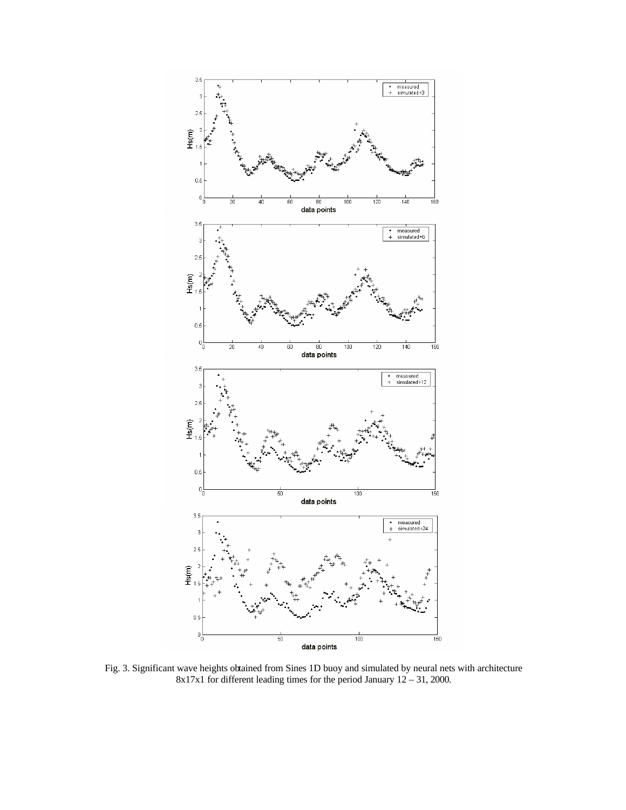

Fig. 3. Significant wave heights obtained from Sines 1D buoy and simulated by neural nets with architecture 8x17x1 for different leading times for the period January 12 – 31, 2000.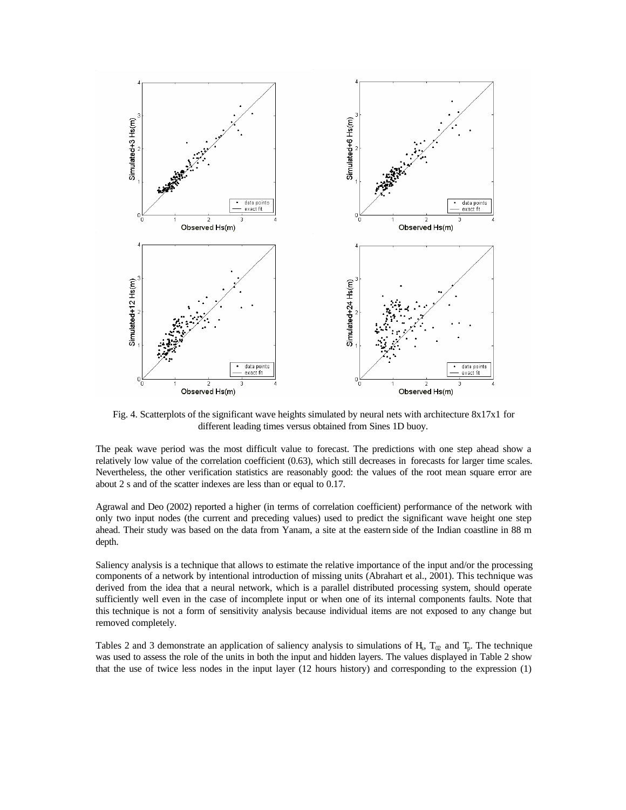

Fig. 4. Scatterplots of the significant wave heights simulated by neural nets with architecture 8x17x1 for different leading times versus obtained from Sines 1D buoy.

The peak wave period was the most difficult value to forecast. The predictions with one step ahead show a relatively low value of the correlation coefficient (0.63), which still decreases in forecasts for larger time scales. Nevertheless, the other verification statistics are reasonably good: the values of the root mean square error are about 2 s and of the scatter indexes are less than or equal to 0.17.

Agrawal and Deo (2002) reported a higher (in terms of correlation coefficient) performance of the network with only two input nodes (the current and preceding values) used to predict the significant wave height one step ahead. Their study was based on the data from Yanam, a site at the eastern side of the Indian coastline in 88 m depth.

Saliency analysis is a technique that allows to estimate the relative importance of the input and/or the processing components of a network by intentional introduction of missing units (Abrahart et al., 2001). This technique was derived from the idea that a neural network, which is a parallel distributed processing system, should operate sufficiently well even in the case of incomplete input or when one of its internal components faults. Note that this technique is not a form of sensitivity analysis because individual items are not exposed to any change but removed completely.

Tables 2 and 3 demonstrate an application of saliency analysis to simulations of H<sub>s</sub>,  $T_{\alpha}$  and  $T_p$ . The technique was used to assess the role of the units in both the input and hidden layers. The values displayed in Table 2 show that the use of twice less nodes in the input layer (12 hours history) and corresponding to the expression (1)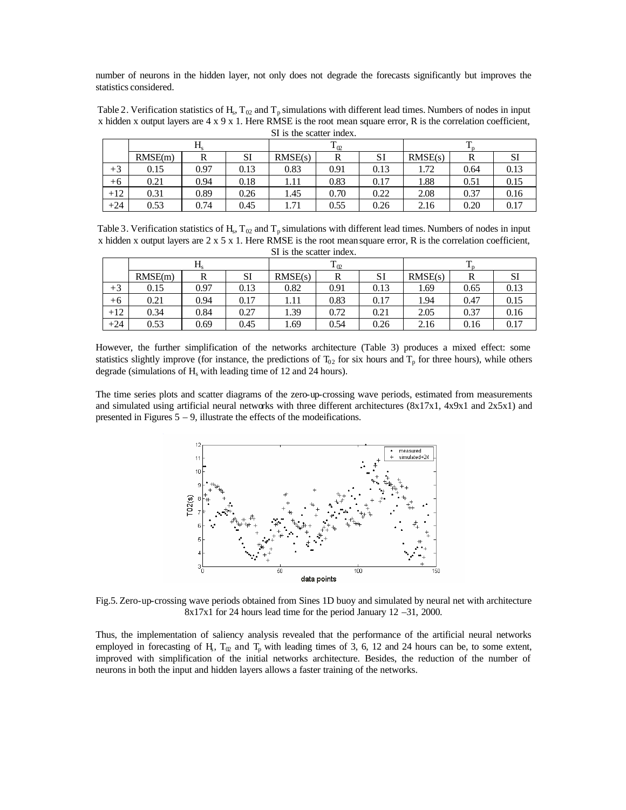number of neurons in the hidden layer, not only does not degrade the forecasts significantly but improves the statistics considered.

| Table 2. Verification statistics of H <sub>s</sub> , T <sub>02</sub> and T <sub>p</sub> simulations with different lead times. Numbers of nodes in input |
|----------------------------------------------------------------------------------------------------------------------------------------------------------|
| x hidden x output layers are $4 \times 9 \times 1$ . Here RMSE is the root mean square error, R is the correlation coefficient,                          |
| SI is the scatter index.                                                                                                                                 |

|       | <b>A L</b> |      |      | T.<br>$1_{02}$ |      |      |         |      |      |
|-------|------------|------|------|----------------|------|------|---------|------|------|
|       | RMSE(m)    | R    | SI   | RMSE(s)        | R    | SI   | RMSE(s) | R    | υı   |
| $+3$  | 0.15       | 0.97 | 0.13 | 0.83           | 0.91 | 0.13 | 1.72    | 0.64 | 0.13 |
| +6    | 0.21       | 0.94 | 0.18 | 1.11           | 0.83 | 0.17 | 1.88    | 0.51 | 0.15 |
| $+12$ | 0.31       | 0.89 | 0.26 | 1.45           | 0.70 | 0.22 | 2.08    | 0.37 | 0.16 |
| $+24$ | 0.53       | 0.74 | 0.45 | 1.71           | 0.55 | 0.26 | 2.16    | 0.20 | 0.17 |

Table 3. Verification statistics of  $H_s$ ,  $T_{02}$  and  $T_p$  simulations with different lead times. Numbers of nodes in input x hidden x output layers are  $2 \times 5 \times 1$ . Here RMSE is the root mean square error, R is the correlation coefficient, SI is the scatter index.

| $D1$ is the seater mode. |             |      |      |          |      |      |         |      |      |
|--------------------------|-------------|------|------|----------|------|------|---------|------|------|
|                          | $\rm H_{s}$ |      |      | $T_{02}$ |      |      |         |      |      |
|                          | RMSE(m)     |      | SI   | RMSE(s)  |      | SI   | RMSE(s) | R    | SI   |
| $+3$                     | 0.15        | 0.97 | 0.13 | 0.82     | 0.91 | 0.13 | 1.69    | 0.65 | 0.13 |
| $+6$                     | 0.21        | 0.94 | 0.17 | 1.11     | 0.83 | 0.17 | 1.94    | 0.47 | 0.15 |
| $+12$                    | 0.34        | 0.84 | 0.27 | .39      | 0.72 | 0.21 | 2.05    | 0.37 | 0.16 |
| $+24$                    | 0.53        | 0.69 | 0.45 | .69      | 0.54 | 0.26 | 2.16    | 0.16 | 0.17 |

However, the further simplification of the networks architecture (Table 3) produces a mixed effect: some statistics slightly improve (for instance, the predictions of  $T_{02}$  for six hours and  $T_p$  for three hours), while others degrade (simulations of  $H<sub>s</sub>$  with leading time of 12 and 24 hours).

The time series plots and scatter diagrams of the zero-up-crossing wave periods, estimated from measurements and simulated using artificial neural networks with three different architectures (8x17x1, 4x9x1 and 2x5x1) and presented in Figures  $5 - 9$ , illustrate the effects of the modeifications.



Fig.5. Zero-up-crossing wave periods obtained from Sines 1D buoy and simulated by neural net with architecture 8x17x1 for 24 hours lead time for the period January 12 –31, 2000.

Thus, the implementation of saliency analysis revealed that the performance of the artificial neural networks employed in forecasting of H<sub>3</sub>,  $T_{\omega}$  and  $T_{p}$  with leading times of 3, 6, 12 and 24 hours can be, to some extent, improved with simplification of the initial networks architecture. Besides, the reduction of the number of neurons in both the input and hidden layers allows a faster training of the networks.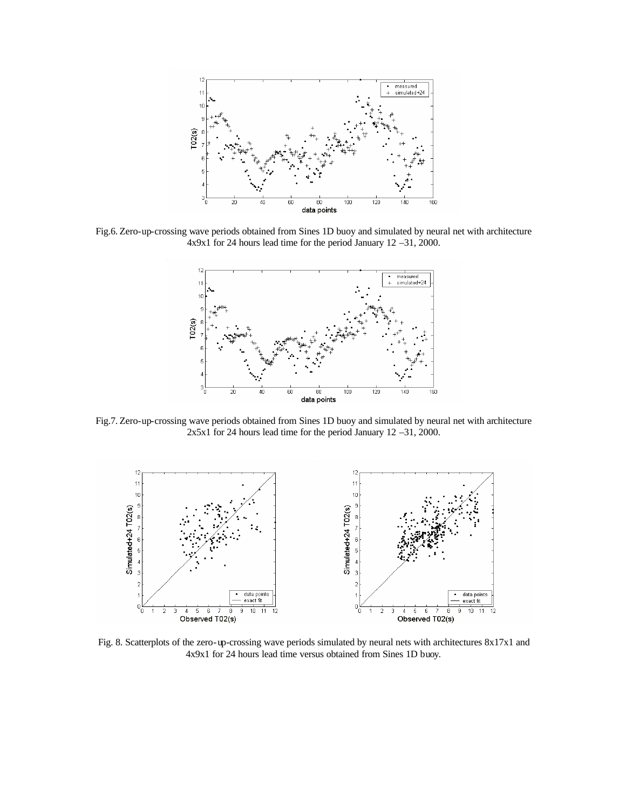

Fig.6. Zero-up-crossing wave periods obtained from Sines 1D buoy and simulated by neural net with architecture 4x9x1 for 24 hours lead time for the period January 12 –31, 2000.



Fig.7. Zero-up-crossing wave periods obtained from Sines 1D buoy and simulated by neural net with architecture 2x5x1 for 24 hours lead time for the period January 12 –31, 2000.



Fig. 8. Scatterplots of the zero-up-crossing wave periods simulated by neural nets with architectures 8x17x1 and 4x9x1 for 24 hours lead time versus obtained from Sines 1D buoy.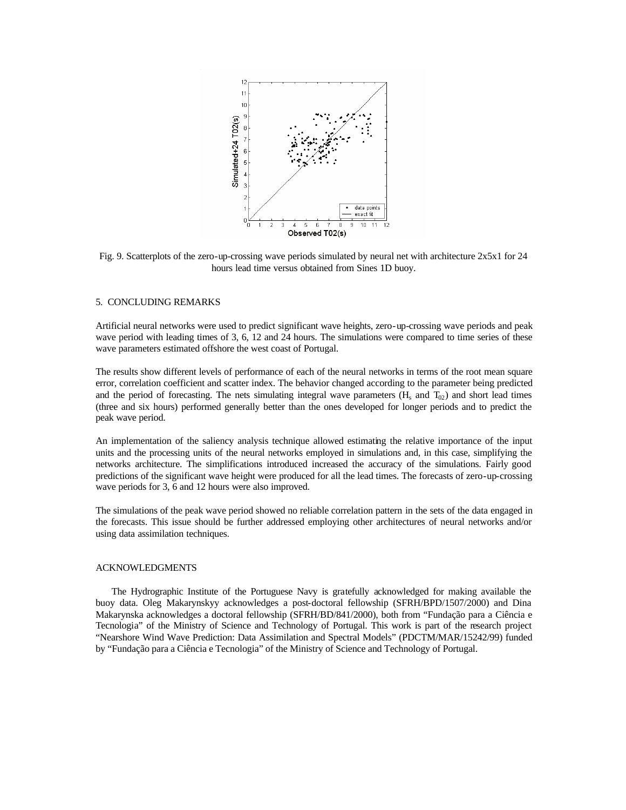

Fig. 9. Scatterplots of the zero-up-crossing wave periods simulated by neural net with architecture 2x5x1 for 24 hours lead time versus obtained from Sines 1D buoy.

#### 5. CONCLUDING REMARKS

Artificial neural networks were used to predict significant wave heights, zero-up-crossing wave periods and peak wave period with leading times of 3, 6, 12 and 24 hours. The simulations were compared to time series of these wave parameters estimated offshore the west coast of Portugal.

The results show different levels of performance of each of the neural networks in terms of the root mean square error, correlation coefficient and scatter index. The behavior changed according to the parameter being predicted and the period of forecasting. The nets simulating integral wave parameters  $(H_s \text{ and } T_{02})$  and short lead times (three and six hours) performed generally better than the ones developed for longer periods and to predict the peak wave period.

An implementation of the saliency analysis technique allowed estimating the relative importance of the input units and the processing units of the neural networks employed in simulations and, in this case, simplifying the networks architecture. The simplifications introduced increased the accuracy of the simulations. Fairly good predictions of the significant wave height were produced for all the lead times. The forecasts of zero-up-crossing wave periods for 3, 6 and 12 hours were also improved.

The simulations of the peak wave period showed no reliable correlation pattern in the sets of the data engaged in the forecasts. This issue should be further addressed employing other architectures of neural networks and/or using data assimilation techniques.

## ACKNOWLEDGMENTS

The Hydrographic Institute of the Portuguese Navy is gratefully acknowledged for making available the buoy data. Oleg Makarynskyy acknowledges a post-doctoral fellowship (SFRH/BPD/1507/2000) and Dina Makarynska acknowledges a doctoral fellowship (SFRH/BD/841/2000), both from "Fundação para a Ciência e Tecnologia" of the Ministry of Science and Technology of Portugal. This work is part of the research project "Nearshore Wind Wave Prediction: Data Assimilation and Spectral Models" (PDCTM/MAR/15242/99) funded by "Fundação para a Ciência e Tecnologia" of the Ministry of Science and Technology of Portugal.